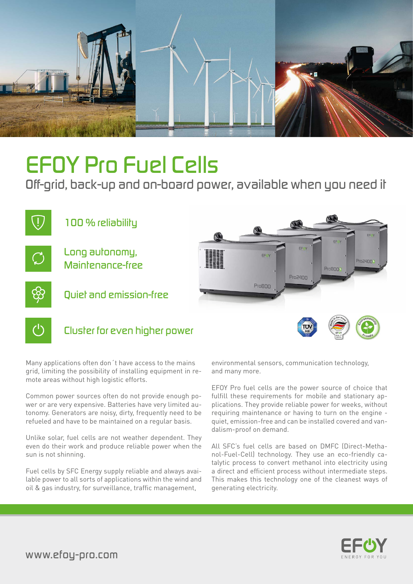

# *EFOY Pro Fuel Cells*

*Off-grid, back-up and on-board power, available when you need it*



Many applications often don´t have access to the mains grid, limiting the possibility of installing equipment in remote areas without high logistic efforts.

Common power sources often do not provide enough power or are very expensive. Batteries have very limited autonomy. Generators are noisy, dirty, frequently need to be refueled and have to be maintained on a regular basis.

Unlike solar, fuel cells are not weather dependent. They even do their work and produce reliable power when the sun is not shinning.

Fuel cells by SFC Energy supply reliable and always available power to all sorts of applications within the wind and oil & gas industry, for surveillance, traffic management,

environmental sensors, communication technology, and many more.

EFOY Pro fuel cells are the power source of choice that fulfill these requirements for mobile and stationary applications. They provide reliable power for weeks, without requiring maintenance or having to turn on the engine quiet, emission-free and can be installed covered and vandalism-proof on demand.

All SFC's fuel cells are based on DMFC (Direct-Methanol-Fuel-Cell) technology. They use an eco-friendly catalytic process to convert methanol into electricity using a direct and efficient process without intermediate steps. This makes this technology one of the cleanest ways of generating electricity.